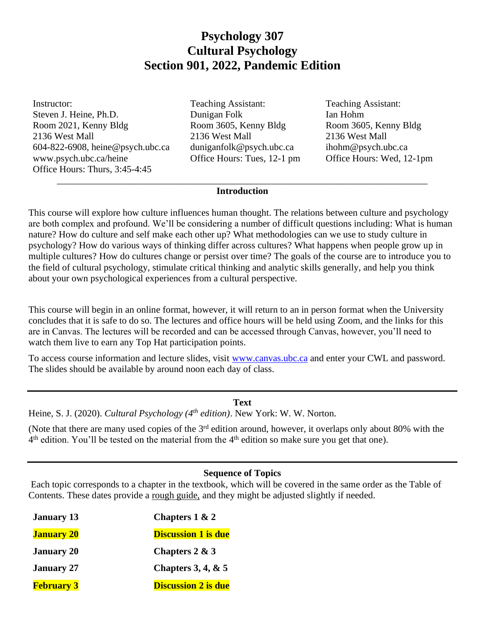# **Psychology 307 Cultural Psychology Section 901, 2022, Pandemic Edition**

Instructor: Teaching Assistant: Teaching Assistant: Steven J. Heine, Ph.D. **Dunigan Folk** Ian Hohm Room 2021, Kenny Bldg Room 3605, Kenny Bldg Room 3605, Kenny Bldg 2136 West Mall 2136 West Mall 2136 West Mall 604-822-6908, heine@psych.ubc.ca duniganfolk@psych.ubc.ca ihohm@psych.ubc.ca www.psych.ubc.ca/heine Office Hours: Tues, 12-1 pm Office Hours: Wed, 12-1 pm Office Hours: Thurs, 3:45-4:45

#### \_\_\_\_\_\_\_\_\_\_\_\_\_\_\_\_\_\_\_\_\_\_\_\_\_\_\_\_\_\_\_\_\_\_\_\_\_\_\_\_\_\_\_\_\_\_\_\_\_\_\_\_\_\_\_\_\_\_\_\_\_\_\_\_\_\_\_\_\_\_\_\_\_\_\_\_\_\_ **Introduction**

This course will explore how culture influences human thought. The relations between culture and psychology are both complex and profound. We'll be considering a number of difficult questions including: What is human nature? How do culture and self make each other up? What methodologies can we use to study culture in psychology? How do various ways of thinking differ across cultures? What happens when people grow up in multiple cultures? How do cultures change or persist over time? The goals of the course are to introduce you to the field of cultural psychology, stimulate critical thinking and analytic skills generally, and help you think about your own psychological experiences from a cultural perspective.

This course will begin in an online format, however, it will return to an in person format when the University concludes that it is safe to do so. The lectures and office hours will be held using Zoom, and the links for this are in Canvas. The lectures will be recorded and can be accessed through Canvas, however, you'll need to watch them live to earn any Top Hat participation points.

To access course information and lecture slides, visit [www.canvas.ubc.ca](http://www.connect.ubc.ca/) and enter your CWL and password. The slides should be available by around noon each day of class.

#### **Text**

Heine, S. J. (2020). *Cultural Psychology (4 th edition)*. New York: W. W. Norton.

(Note that there are many used copies of the 3<sup>rd</sup> edition around, however, it overlaps only about 80% with the 4<sup>th</sup> edition. You'll be tested on the material from the 4<sup>th</sup> edition so make sure you get that one).

#### **Sequence of Topics**

Each topic corresponds to a chapter in the textbook, which will be covered in the same order as the Table of Contents. These dates provide a rough guide, and they might be adjusted slightly if needed.

| <b>January 13</b> | Chapters $1 & 2$           |  |
|-------------------|----------------------------|--|
| <b>January 20</b> | <b>Discussion 1 is due</b> |  |
| <b>January 20</b> | Chapters $2 & 3$           |  |
| <b>January 27</b> | Chapters 3, 4, $\&$ 5      |  |
| <b>February 3</b> | <b>Discussion 2 is due</b> |  |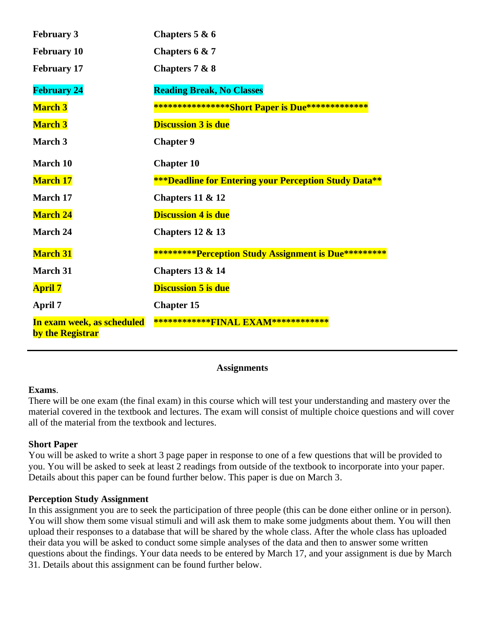| <b>February 3</b>                              | Chapters $5 & 6$                                             |
|------------------------------------------------|--------------------------------------------------------------|
| <b>February 10</b>                             | Chapters 6 & 7                                               |
| <b>February 17</b>                             | Chapters 7 & 8                                               |
| <b>February 24</b>                             | <b>Reading Break, No Classes</b>                             |
| <b>March 3</b>                                 | ************** <mark>Short Paper is Due*************</mark>  |
| <b>March 3</b>                                 | <b>Discussion 3 is due</b>                                   |
| March 3                                        | <b>Chapter 9</b>                                             |
| March 10                                       | <b>Chapter 10</b>                                            |
| <b>March 17</b>                                | <b>***Deadline for Entering your Perception Study Data**</b> |
| <b>March 17</b>                                | Chapters $11 & 12$                                           |
| <b>March 24</b>                                | <b>Discussion 4 is due</b>                                   |
| March 24                                       | Chapters $12 \& 13$                                          |
| <b>March 31</b>                                | **********Perception Study Assignment is Due********         |
| <b>March 31</b>                                | Chapters 13 & 14                                             |
| <b>April 7</b>                                 | <b>Discussion 5 is due</b>                                   |
| April 7                                        | <b>Chapter 15</b>                                            |
| In exam week, as scheduled<br>by the Registrar | ***********FINAL $\mathbf{EXAM}$ ***********                 |

#### **Assignments**

## **Exams**.

There will be one exam (the final exam) in this course which will test your understanding and mastery over the material covered in the textbook and lectures. The exam will consist of multiple choice questions and will cover all of the material from the textbook and lectures.

#### **Short Paper**

You will be asked to write a short 3 page paper in response to one of a few questions that will be provided to you. You will be asked to seek at least 2 readings from outside of the textbook to incorporate into your paper. Details about this paper can be found further below. This paper is due on March 3.

#### **Perception Study Assignment**

In this assignment you are to seek the participation of three people (this can be done either online or in person). You will show them some visual stimuli and will ask them to make some judgments about them. You will then upload their responses to a database that will be shared by the whole class. After the whole class has uploaded their data you will be asked to conduct some simple analyses of the data and then to answer some written questions about the findings. Your data needs to be entered by March 17, and your assignment is due by March 31. Details about this assignment can be found further below.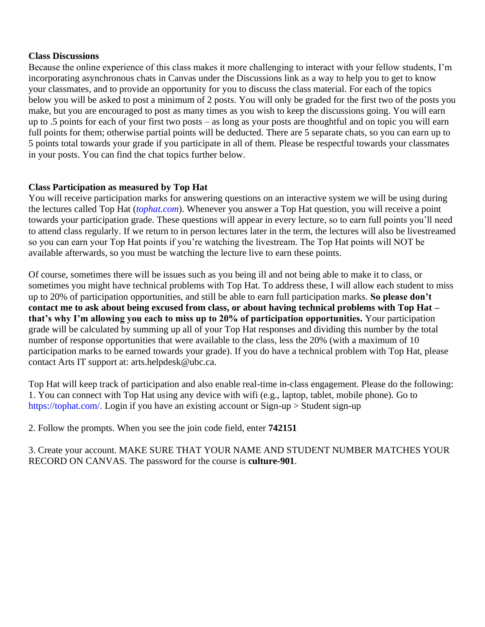#### **Class Discussions**

Because the online experience of this class makes it more challenging to interact with your fellow students, I'm incorporating asynchronous chats in Canvas under the Discussions link as a way to help you to get to know your classmates, and to provide an opportunity for you to discuss the class material. For each of the topics below you will be asked to post a minimum of 2 posts. You will only be graded for the first two of the posts you make, but you are encouraged to post as many times as you wish to keep the discussions going. You will earn up to .5 points for each of your first two posts – as long as your posts are thoughtful and on topic you will earn full points for them; otherwise partial points will be deducted. There are 5 separate chats, so you can earn up to 5 points total towards your grade if you participate in all of them. Please be respectful towards your classmates in your posts. You can find the chat topics further below.

## **Class Participation as measured by Top Hat**

You will receive participation marks for answering questions on an interactive system we will be using during the lectures called Top Hat (*tophat.com*). Whenever you answer a Top Hat question, you will receive a point towards your participation grade. These questions will appear in every lecture, so to earn full points you'll need to attend class regularly. If we return to in person lectures later in the term, the lectures will also be livestreamed so you can earn your Top Hat points if you're watching the livestream. The Top Hat points will NOT be available afterwards, so you must be watching the lecture live to earn these points.

Of course, sometimes there will be issues such as you being ill and not being able to make it to class, or sometimes you might have technical problems with Top Hat. To address these, I will allow each student to miss up to 20% of participation opportunities, and still be able to earn full participation marks. **So please don't contact me to ask about being excused from class, or about having technical problems with Top Hat – that's why I'm allowing you each to miss up to 20% of participation opportunities.** Your participation grade will be calculated by summing up all of your Top Hat responses and dividing this number by the total number of response opportunities that were available to the class, less the 20% (with a maximum of 10 participation marks to be earned towards your grade). If you do have a technical problem with Top Hat, please contact Arts IT support at: arts.helpdesk@ubc.ca.

Top Hat will keep track of participation and also enable real-time in-class engagement. Please do the following: 1. You can connect with Top Hat using any device with wifi (e.g., laptop, tablet, mobile phone). Go to https://tophat.com/. Login if you have an existing account or Sign-up > Student sign-up

2. Follow the prompts. When you see the join code field, enter **742151**

3. Create your account. MAKE SURE THAT YOUR NAME AND STUDENT NUMBER MATCHES YOUR RECORD ON CANVAS. The password for the course is **culture-901**.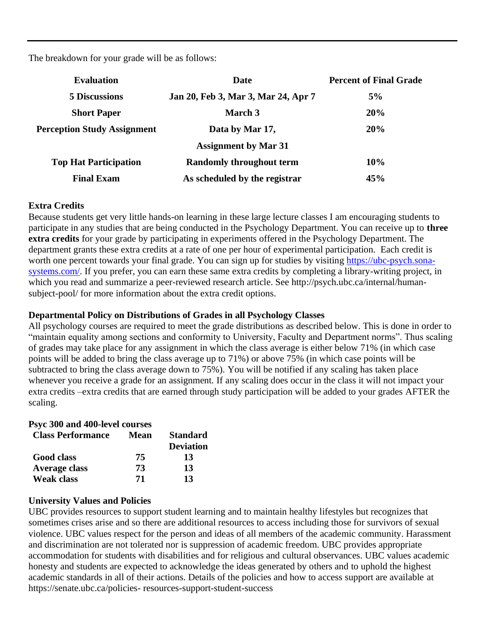The breakdown for your grade will be as follows:

| <b>Evaluation</b>                  | Date                                | <b>Percent of Final Grade</b> |
|------------------------------------|-------------------------------------|-------------------------------|
| <b>5 Discussions</b>               | Jan 20, Feb 3, Mar 3, Mar 24, Apr 7 | 5%                            |
| <b>Short Paper</b>                 | March 3                             | 20%                           |
| <b>Perception Study Assignment</b> | Data by Mar 17,                     | 20%                           |
|                                    | <b>Assignment by Mar 31</b>         |                               |
| <b>Top Hat Participation</b>       | <b>Randomly throughout term</b>     | 10%                           |
| <b>Final Exam</b>                  | As scheduled by the registrar       | 45%                           |

## **Extra Credits**

Because students get very little hands-on learning in these large lecture classes I am encouraging students to participate in any studies that are being conducted in the Psychology Department. You can receive up to **three extra credits** for your grade by participating in experiments offered in the Psychology Department. The department grants these extra credits at a rate of one per hour of experimental participation. Each credit is worth one percent towards your final grade. You can sign up for studies by visiting [https://ubc-psych.sona](https://ubc-psych.sona-systems.com/)[systems.com/.](https://ubc-psych.sona-systems.com/) If you prefer, you can earn these same extra credits by completing a library-writing project, in which you read and summarize a peer-reviewed research article. See [http://psych.ubc.ca/internal/human](http://psych.ubc.ca/internal/human-subject-pool/)[subject-pool/](http://psych.ubc.ca/internal/human-subject-pool/) for more information about the extra credit options.

## **Departmental Policy on Distributions of Grades in all Psychology Classes**

All psychology courses are required to meet the grade distributions as described below. This is done in order to "maintain equality among sections and conformity to University, Faculty and Department norms". Thus scaling of grades may take place for any assignment in which the class average is either below 71% (in which case points will be added to bring the class average up to 71%) or above 75% (in which case points will be subtracted to bring the class average down to 75%). You will be notified if any scaling has taken place whenever you receive a grade for an assignment. If any scaling does occur in the class it will not impact your extra credits –extra credits that are earned through study participation will be added to your grades AFTER the scaling.

#### **Psyc 300 and 400-level courses**

| <b>Mean</b> | <b>Standard</b>  |
|-------------|------------------|
|             | <b>Deviation</b> |
| 75          | 13               |
| 73          | 13               |
| 71          | 13               |
|             |                  |

#### **University Values and Policies**

UBC provides resources to support student learning and to maintain healthy lifestyles but recognizes that sometimes crises arise and so there are additional resources to access including those for survivors of sexual violence. UBC values respect for the person and ideas of all members of the academic community. Harassment and discrimination are not tolerated nor is suppression of academic freedom. UBC provides appropriate accommodation for students with disabilities and for religious and cultural observances. UBC values academic honesty and students are expected to acknowledge the ideas generated by others and to uphold the highest academic standards in all of their actions. Details of the policies and how to access support are available at https://senate.ubc.ca/policies- resources-support-student-success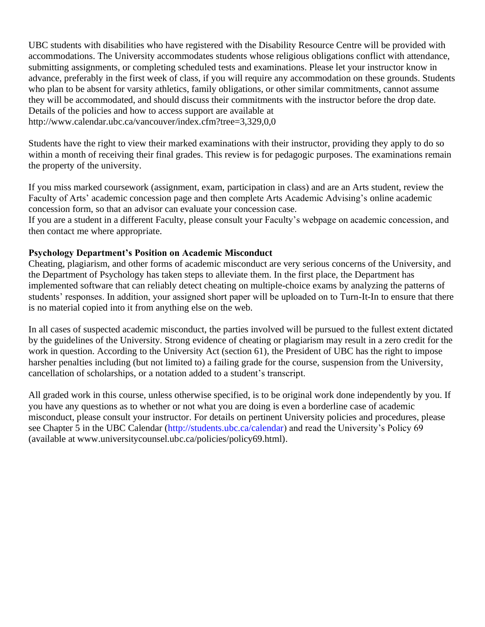UBC students with disabilities who have registered with the Disability Resource Centre will be provided with accommodations. The University accommodates students whose religious obligations conflict with attendance, submitting assignments, or completing scheduled tests and examinations. Please let your instructor know in advance, preferably in the first week of class, if you will require any accommodation on these grounds. Students who plan to be absent for varsity athletics, family obligations, or other similar commitments, cannot assume they will be accommodated, and should discuss their commitments with the instructor before the drop date. Details of the policies and how to access support are available at http://www.calendar.ubc.ca/vancouver/index.cfm?tree=3,329,0,0

Students have the right to view their marked examinations with their instructor, providing they apply to do so within a month of receiving their final grades. This review is for pedagogic purposes. The examinations remain the property of the university.

If you miss marked coursework (assignment, exam, participation in class) and are an Arts student, review the Faculty of Arts' [academic concession page](https://students.arts.ubc.ca/advising/academic-performance/help-academic-concession/) and then complete Arts Academic Advising's [online academic](https://students.air.arts.ubc.ca/academic-concession-form/)  [concession form,](https://students.air.arts.ubc.ca/academic-concession-form/) so that an advisor can evaluate your concession case.

If you are a student in a different Faculty, please consult [your Faculty's webpage on academic concession,](https://students.ubc.ca/enrolment/academic-learning-resources/academic-concessions) and then contact me where appropriate.

## **Psychology Department's Position on Academic Misconduct**

Cheating, plagiarism, and other forms of academic misconduct are very serious concerns of the University, and the Department of Psychology has taken steps to alleviate them. In the first place, the Department has implemented software that can reliably detect cheating on multiple-choice exams by analyzing the patterns of students' responses. In addition, your assigned short paper will be uploaded on to Turn-It-In to ensure that there is no material copied into it from anything else on the web.

In all cases of suspected academic misconduct, the parties involved will be pursued to the fullest extent dictated by the guidelines of the University. Strong evidence of cheating or plagiarism may result in a zero credit for the work in question. According to the University Act (section 61), the President of UBC has the right to impose harsher penalties including (but not limited to) a failing grade for the course, suspension from the University, cancellation of scholarships, or a notation added to a student's transcript.

All graded work in this course, unless otherwise specified, is to be original work done independently by you. If you have any questions as to whether or not what you are doing is even a borderline case of academic misconduct, please consult your instructor. For details on pertinent University policies and procedures, please see Chapter 5 in the UBC Calendar (http://students.ubc.ca/calendar) and read the University's Policy 69 (available at www.universitycounsel.ubc.ca/policies/policy69.html).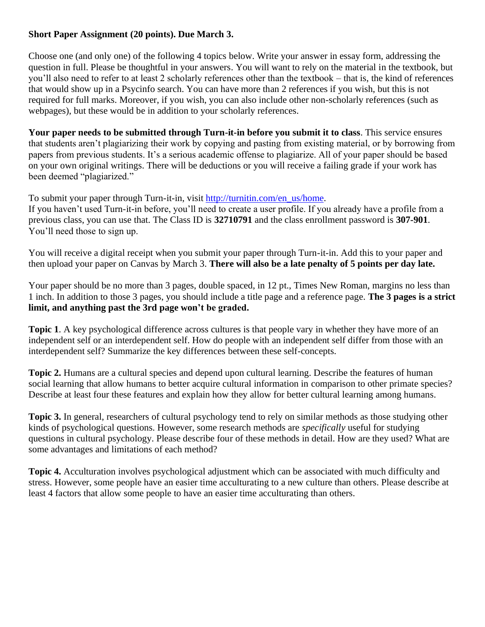# **Short Paper Assignment (20 points). Due March 3.**

Choose one (and only one) of the following 4 topics below. Write your answer in essay form, addressing the question in full. Please be thoughtful in your answers. You will want to rely on the material in the textbook, but you'll also need to refer to at least 2 scholarly references other than the textbook – that is, the kind of references that would show up in a Psycinfo search. You can have more than 2 references if you wish, but this is not required for full marks. Moreover, if you wish, you can also include other non-scholarly references (such as webpages), but these would be in addition to your scholarly references.

**Your paper needs to be submitted through Turn-it-in before you submit it to class**. This service ensures that students aren't plagiarizing their work by copying and pasting from existing material, or by borrowing from papers from previous students. It's a serious academic offense to plagiarize. All of your paper should be based on your own original writings. There will be deductions or you will receive a failing grade if your work has been deemed "plagiarized."

To submit your paper through Turn-it-in, visit [http://turnitin.com/en\\_us/home.](http://turnitin.com/en_us/home)

If you haven't used Turn-it-in before, you'll need to create a user profile. If you already have a profile from a previous class, you can use that. The Class ID is **32710791** and the class enrollment password is **307-901**. You'll need those to sign up.

You will receive a digital receipt when you submit your paper through Turn-it-in. Add this to your paper and then upload your paper on Canvas by March 3. **There will also be a late penalty of 5 points per day late.**

Your paper should be no more than 3 pages, double spaced, in 12 pt., Times New Roman, margins no less than 1 inch. In addition to those 3 pages, you should include a title page and a reference page. **The 3 pages is a strict limit, and anything past the 3rd page won't be graded.** 

**Topic 1**. A key psychological difference across cultures is that people vary in whether they have more of an independent self or an interdependent self. How do people with an independent self differ from those with an interdependent self? Summarize the key differences between these self-concepts.

**Topic 2.** Humans are a cultural species and depend upon cultural learning. Describe the features of human social learning that allow humans to better acquire cultural information in comparison to other primate species? Describe at least four these features and explain how they allow for better cultural learning among humans.

**Topic 3.** In general, researchers of cultural psychology tend to rely on similar methods as those studying other kinds of psychological questions. However, some research methods are *specifically* useful for studying questions in cultural psychology. Please describe four of these methods in detail. How are they used? What are some advantages and limitations of each method?

**Topic 4.** Acculturation involves psychological adjustment which can be associated with much difficulty and stress. However, some people have an easier time acculturating to a new culture than others. Please describe at least 4 factors that allow some people to have an easier time acculturating than others.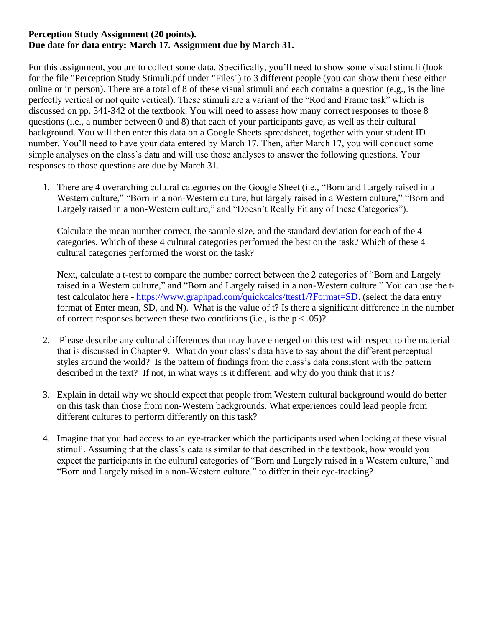## **Perception Study Assignment (20 points). Due date for data entry: March 17. Assignment due by March 31.**

For this assignment, you are to collect some data. Specifically, you'll need to show some visual stimuli (look for the file "Perception Study Stimuli.pdf under "Files") to 3 different people (you can show them these either online or in person). There are a total of 8 of these visual stimuli and each contains a question (e.g., is the line perfectly vertical or not quite vertical). These stimuli are a variant of the "Rod and Frame task" which is discussed on pp. 341-342 of the textbook. You will need to assess how many correct responses to those 8 questions (i.e., a number between 0 and 8) that each of your participants gave, as well as their cultural background. You will then enter this data on a Google Sheets spreadsheet, together with your student ID number. You'll need to have your data entered by March 17. Then, after March 17, you will conduct some simple analyses on the class's data and will use those analyses to answer the following questions. Your responses to those questions are due by March 31.

1. There are 4 overarching cultural categories on the Google Sheet (i.e., "Born and Largely raised in a Western culture," "Born in a non-Western culture, but largely raised in a Western culture," "Born and Largely raised in a non-Western culture," and "Doesn't Really Fit any of these Categories").

Calculate the mean number correct, the sample size, and the standard deviation for each of the 4 categories. Which of these 4 cultural categories performed the best on the task? Which of these 4 cultural categories performed the worst on the task?

Next, calculate a t-test to compare the number correct between the 2 categories of "Born and Largely raised in a Western culture," and "Born and Largely raised in a non-Western culture." You can use the ttest calculator here - [https://www.graphpad.com/quickcalcs/ttest1/?Format=SD.](https://www.graphpad.com/quickcalcs/ttest1/?Format=SD) (select the data entry format of Enter mean, SD, and N). What is the value of t? Is there a significant difference in the number of correct responses between these two conditions (i.e., is the  $p < .05$ )?

- 2. Please describe any cultural differences that may have emerged on this test with respect to the material that is discussed in Chapter 9. What do your class's data have to say about the different perceptual styles around the world? Is the pattern of findings from the class's data consistent with the pattern described in the text? If not, in what ways is it different, and why do you think that it is?
- 3. Explain in detail why we should expect that people from Western cultural background would do better on this task than those from non-Western backgrounds. What experiences could lead people from different cultures to perform differently on this task?
- 4. Imagine that you had access to an eye-tracker which the participants used when looking at these visual stimuli. Assuming that the class's data is similar to that described in the textbook, how would you expect the participants in the cultural categories of "Born and Largely raised in a Western culture," and "Born and Largely raised in a non-Western culture." to differ in their eye-tracking?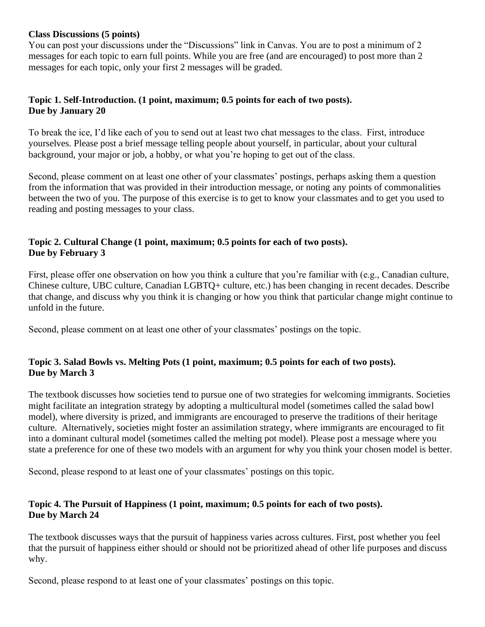## **Class Discussions (5 points)**

You can post your discussions under the "Discussions" link in Canvas. You are to post a minimum of 2 messages for each topic to earn full points. While you are free (and are encouraged) to post more than 2 messages for each topic, only your first 2 messages will be graded.

# **Topic 1. Self-Introduction. (1 point, maximum; 0.5 points for each of two posts). Due by January 20**

To break the ice, I'd like each of you to send out at least two chat messages to the class. First, introduce yourselves. Please post a brief message telling people about yourself, in particular, about your cultural background, your major or job, a hobby, or what you're hoping to get out of the class.

Second, please comment on at least one other of your classmates' postings, perhaps asking them a question from the information that was provided in their introduction message, or noting any points of commonalities between the two of you. The purpose of this exercise is to get to know your classmates and to get you used to reading and posting messages to your class.

# **Topic 2. Cultural Change (1 point, maximum; 0.5 points for each of two posts). Due by February 3**

First, please offer one observation on how you think a culture that you're familiar with (e.g., Canadian culture, Chinese culture, UBC culture, Canadian LGBTQ+ culture, etc.) has been changing in recent decades. Describe that change, and discuss why you think it is changing or how you think that particular change might continue to unfold in the future.

Second, please comment on at least one other of your classmates' postings on the topic.

# **Topic 3. Salad Bowls vs. Melting Pots (1 point, maximum; 0.5 points for each of two posts). Due by March 3**

The textbook discusses how societies tend to pursue one of two strategies for welcoming immigrants. Societies might facilitate an integration strategy by adopting a multicultural model (sometimes called the salad bowl model), where diversity is prized, and immigrants are encouraged to preserve the traditions of their heritage culture. Alternatively, societies might foster an assimilation strategy, where immigrants are encouraged to fit into a dominant cultural model (sometimes called the melting pot model). Please post a message where you state a preference for one of these two models with an argument for why you think your chosen model is better.

Second, please respond to at least one of your classmates' postings on this topic.

# **Topic 4. The Pursuit of Happiness (1 point, maximum; 0.5 points for each of two posts). Due by March 24**

The textbook discusses ways that the pursuit of happiness varies across cultures. First, post whether you feel that the pursuit of happiness either should or should not be prioritized ahead of other life purposes and discuss why.

Second, please respond to at least one of your classmates' postings on this topic.